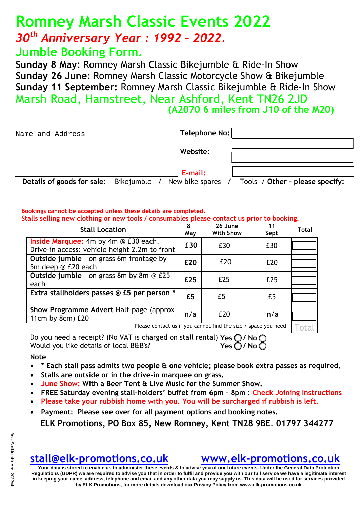# **Romney Marsh Classic Events 2022** *30th Anniversary Year : 1992 – 2022.*

### **Jumble Booking Form.**

**Sunday 8 May:** Romney Marsh Classic Bikejumble & Ride-In Show **Sunday 26 June:** Romney Marsh Classic Motorcycle Show & Bikejumble **Sunday 11 September:** Romney Marsh Classic Bikejumble & Ride-In Show Marsh Road, Hamstreet, Near Ashford, Kent TN26 2JD **(A2070 6 miles from J10 of the M20)** 

| Name and Address           |                   | Telephone No:   |                                 |
|----------------------------|-------------------|-----------------|---------------------------------|
|                            |                   |                 |                                 |
|                            |                   | Website:        |                                 |
|                            |                   |                 |                                 |
|                            |                   | E-mail:         |                                 |
| Details of goods for sale: | <b>Rikejumble</b> | New hike snares | Tools / Other - please specify: |

**Details of Spares / Tools / Other - please specify:**  $\theta$ 

#### **Bookings cannot be accepted unless these details are completed. Stalls selling new clothing or new tools / consumables please contact us prior to booking.**

| <b>Stall Location</b>                                                                 | 8<br>May | 26 June<br><b>With Show</b>                                                                                               | 11<br>Sept | <b>Total</b> |
|---------------------------------------------------------------------------------------|----------|---------------------------------------------------------------------------------------------------------------------------|------------|--------------|
| Inside Marquee: 4m by 4m @ £30 each.<br>Drive-in access: vehicle height 2.2m to front | £30      | £30                                                                                                                       | £30        |              |
| Outside jumble - on grass 6m frontage by<br>5m deep @ £20 each                        | £20      | £20                                                                                                                       | £20        |              |
| <b>Outside jumble</b> - on grass 8m by 8m @ £25<br>each                               | £25      | £25                                                                                                                       | £25        |              |
| Extra stallholders passes @ £5 per person *                                           | £5       | £5                                                                                                                        | £5         |              |
| Show Programme Advert Half-page (approx<br>11 $cm$ by 8 $cm)$ £20                     | n/a      | £20<br>$\mathbf{D}$ and the state of the $H$ and the state of $H$ and $H$ and $H$ and $H$ and $H$ and $H$ and $H$ and $H$ | n/a        |              |

Please contact us if you cannot find the size / space you need.  $\lceil \top_0 \dagger_0 \rceil$ 

Do you need a receipt? (No VAT is charged on stall rental) **Yes / No** Would you like details of local B&B's? **Yes 0/No** 

#### **Note**

- **\* Each stall pass admits two people & one vehicle; please book extra passes as required.**
- **Stalls are outside or in the drive-in marquee on grass.**
- **June Show: With a Beer Tent & Live Music for the Summer Show.**
- **FREE Saturday evening stall-holders' buffet from 6pm – 8pm : Check Joining Instructions**
- **Please take your rubbish home with you. You will be surcharged if rubbish is left.**
- **Payment: Please see over for all payment options and booking notes. ELK Promotions, PO Box 85, New Romney, Kent TN28 9BE**. **01797 344277**

### **[stall@elk-promotions.co.uk](mailto:stall@elk-promotions.co.uk) [www.elk-promotions.co.uk](http://www.elk-promotions.co.uk/)**

**Your data is stored to enable us to administer these events & to advise you of our future events. Under the General Data Protection Regulations (GDPR) we are required to advise you that in order to fulfil and provide you with our full service we have a legitimate interest in keeping your name, address, telephone and email and any other data you may supply us. This data will be used for services provided by ELK Promotions, for more details download our Privacy Policy from www.elk-promotions.co.uk**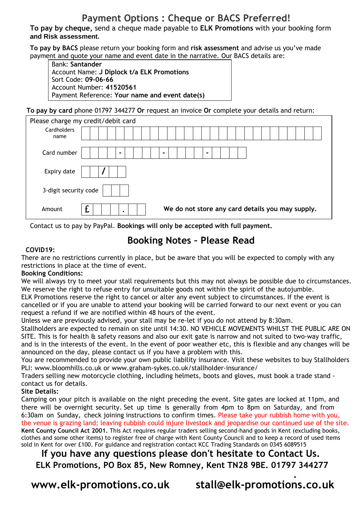### **Payment Options : Cheque or BACS Preferred!**

**To pay by cheque,** send a cheque made payable to **ELK Promotions** with your booking form **and Risk assessment.**

**To pay by BACS** please return your booking form and **risk assessment** and advise us you've made payment and quote your name and event date in the narrative. Our BACS details are:

Bank: **Santander** Account Name: **J Diplock t/a ELK Promotions** Sort Code: **09-06-66** Account Number: **41520561** Payment Reference: **Your name and event date(s)**

**To pay by card** phone 01797 344277 **Or** request an invoice **Or** complete your details and return:

|                       | Please charge my credit/debit card               |
|-----------------------|--------------------------------------------------|
| Cardholders<br>name   |                                                  |
|                       |                                                  |
| Card number           | $\blacksquare$<br>-<br>$\overline{\phantom{0}}$  |
| Expiry date           |                                                  |
| 3-digit security code |                                                  |
| Amount                | We do not store any card details you may supply. |

Contact us to pay by PayPal. **Bookings will only be accepted with full payment.** 

### **Booking Notes – Please Read**

#### **COVID19:**

There are no restrictions currently in place, but be aware that you will be expected to comply with any restrictions in place at the time of event.

#### **Booking Conditions:**

We will always try to meet your stall requirements but this may not always be possible due to circumstances. We reserve the right to refuse entry for unsuitable goods not within the spirit of the autojumble.

ELK Promotions rese[rve the right to cancel or alter any event subject to circumstan](www.mobiletransaction.org/card-machine-small-business-uk)ces. If the event is cancelled or if you are unable to attend your booking will be carried forward to our next event or you can request a refund if we are notified within 48 hours of the event.

Unless we are previously advised, your stall may be re-let if you do not attend by 8:30am.

Stallholders are expected to remain on site until 14:30. NO VEHICLE MOVEMENTS WHILST THE PUBLIC ARE ON SITE. This is for health & safety reasons and also our exit gate is narrow and not suited to two-way traffic, and is in the interests of the event. In the event of poor weather etc, this is flexible and any changes will be announced on the day, please contact us if you have a problem with this.

You are recommended to provide your own public liability insurance. Visit these websites to buy Stallholders PLI: www.bloomhills.co.uk or www.graham-sykes.co.uk/stallholder-insurance/

Traders selling new motorcycle clothing, including helmets, boots and gloves, must book a trade stand contact us for details.

#### **Site Details:**

Camping on your pitch is available on the night preceding the event. Site gates are locked at 11pm, and there will be overnight security. Set up time is generally from 4pm to 8pm on Saturday, and from 6:30am on Sunday, check joining instructions to confirm times. Please take your rubbish home with you, the venue is grazing land; leaving rubbish could injure livestock and jeopardise our continued use of the site. **Kent County Council Act 2001.** This Act requires regular traders selling second-hand goods in Kent (excluding books, clothes and some other items) to register free of charge with Kent County Council and to keep a record of used items sold in Kent for over £100. For guidance and registration contact KCC Trading Standards on 0345 6089515

**If you have any questions please don't hesitate to Contact Us. ELK Promotions, PO Box 85, New Romney, Kent TN28 9BE. 01797 344277** 

 **[www.elk-promotions.co.uk](mailto:stall@elk-promotions.co.uk) [stall@elk-promotions.co.uk](http://www.elk-promotions.co.uk/)**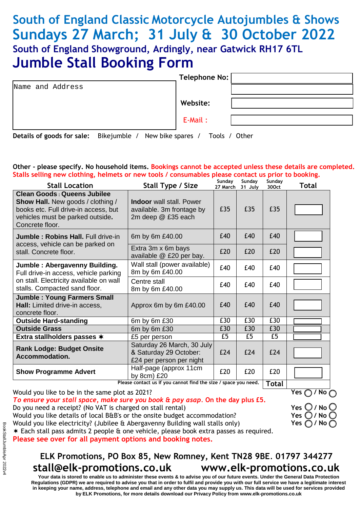## **South of England Classic Motorcycle Autojumbles & Shows Sundays 27 March; 31 July & 30 October 2022 South of England Showground, Ardingly, near Gatwick RH17 6TL Jumble Stall Booking Form**

|                  | Telephone No: |  |
|------------------|---------------|--|
| Name and Address |               |  |
|                  | Website:      |  |
|                  | E-Mail:       |  |

**Details of goods for sale:** Bikejumble / New bike spares / Tools / Other

#### **Other - please specify. No household items. Bookings cannot be accepted unless these details are completed. Stalls selling new clothing, helmets or new tools / consumables please contact us prior to booking.**

| <b>Stall Location</b>                                                                                                                                                         | Stall Type / Size                                                                  | Sunday<br>27 March | Sunday<br>31 July | Sunday<br>300ct | <b>Total</b> |
|-------------------------------------------------------------------------------------------------------------------------------------------------------------------------------|------------------------------------------------------------------------------------|--------------------|-------------------|-----------------|--------------|
| <b>Clean Goods: Queens Jubilee</b><br><b>Show Hall.</b> New goods / clothing /<br>books etc. Full drive-in access, but<br>vehicles must be parked outside.<br>Concrete floor. | <b>Indoor</b> wall stall. Power<br>available. 3m frontage by<br>2m deep @ £35 each | £35                | £35               | £35             |              |
| <b>Jumble: Robins Hall. Full drive-in</b>                                                                                                                                     | 6m by 6m £40.00                                                                    | £40                | £40               | £40             |              |
| access, vehicle can be parked on<br>stall. Concrete floor.                                                                                                                    | Extra 3m x 6m bays<br>available @ £20 per bay.                                     | £20                | £20               | £20             |              |
| Jumble: Abergavenny Building.<br>Full drive-in access, vehicle parking                                                                                                        | Wall stall (power available)<br>8m by 6m £40.00                                    | £40                | £40               | £40             |              |
| on stall. Electricity available on wall<br>stalls. Compacted sand floor.                                                                                                      | Centre stall<br>8m by 6m £40.00                                                    | £40                | £40               | £40             |              |
| <b>Jumble: Young Farmers Small</b><br>Hall: Limited drive-in access,<br>concrete floor.                                                                                       | Approx 6m by 6m £40.00                                                             | £40                | £40               | £40             |              |
| <b>Outside Hard-standing</b>                                                                                                                                                  | 6m by 6m £30                                                                       | £30                | £30               | £30             |              |
| <b>Outside Grass</b>                                                                                                                                                          | 6m by 6m £30                                                                       | £30                | £30               | £30             |              |
| Extra stallholders passes *                                                                                                                                                   | £5 per person                                                                      | £5                 | £5                | £5              |              |
| <b>Rank Lodge: Budget Onsite</b><br>Accommodation.                                                                                                                            | Saturday 26 March, 30 July<br>& Saturday 29 October:<br>£24 per person per night   | £24                | £24               | £24             |              |
| <b>Show Programme Advert</b>                                                                                                                                                  | Half-page (approx 11cm<br>by 8cm) £20                                              | £20                | £20               | £20             |              |

Please contact us if you cannot find the size / space you need. | Total

Would you like to be in the same plot as 2021? *To ensure your stall space, make sure you book & pay asap.* **On the day plus £5.** Do you need a receipt? (No VAT is charged on stall rental) Would you like details of local B&B's or the onsite budget accommodation? Would you like electricity? (Jubilee & Abergavenny Building wall stalls only) Each stall pass admits 2 people & one vehicle, please book extra passes as required. **Please see over for all payment options and booking notes.**

### **ELK Promotions, PO Box 85, New Romney, Kent TN28 9BE**. **01797 344277 stall@elk-promotions.co.uk www.elk-promotions.co.uk**

**Your data is stored to enable us to administer these events & to advise you of our future events. Under the General Data Protection Regulations (GDPR) we are required to advise you that in order to fulfil and provide you with our full service we have a legitimate interest in keeping your name, address, telephone and email and any other data you may supply us. This data will be used for services provided by ELK Promotions, for more details download our Privacy Policy from www.elk-promotions.co.uk** 

**Yes / No**

| Yes $\bigcirc$ / No $\bigcirc$ |
|--------------------------------|
| Yes $\bigcirc$ / No $\bigcirc$ |
| Yes $\bigcirc$ / No $\bigcirc$ |